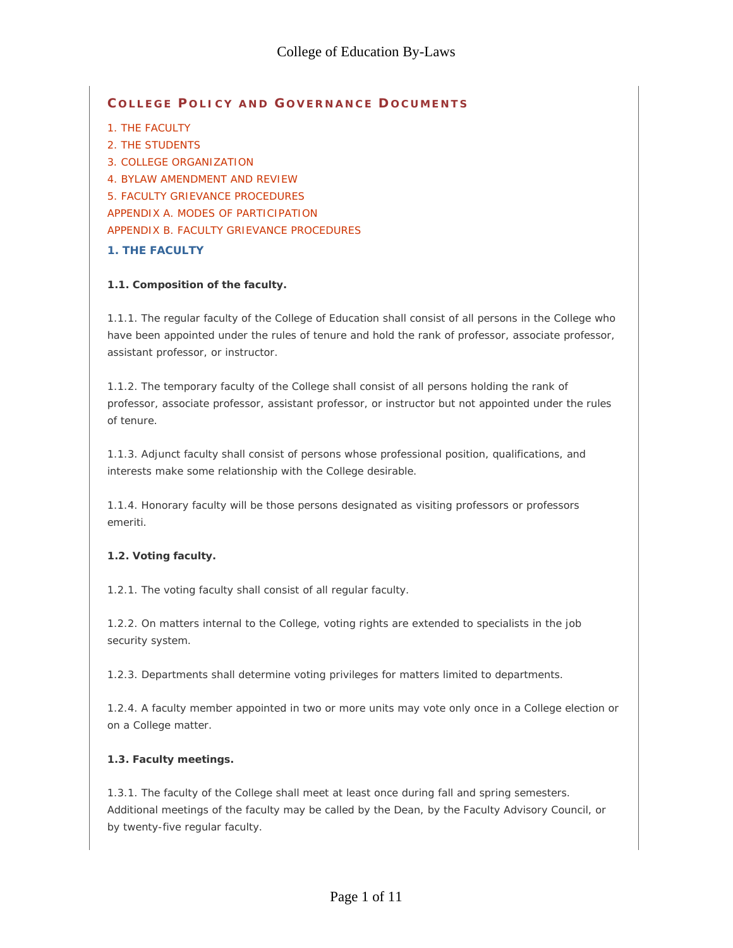## **C OLLEGE P OLICY AND G OVERNANCE D OCUMENTS**

1. THE FACULTY

2. THE STUDENTS 3. COLLEGE ORGANIZATION 4. BYLAW AMENDMENT AND REVIEW 5. FACULTY GRIEVANCE PROCEDURES APPENDIX A. MODES OF PARTICIPATION APPENDIX B. FACULTY GRIEVANCE PROCEDURES

### **1. THE FACULTY**

### **1.1. Composition of the faculty.**

1.1.1. The regular faculty of the College of Education shall consist of all persons in the College who have been appointed under the rules of tenure and hold the rank of professor, associate professor, assistant professor, or instructor.

1.1.2. The temporary faculty of the College shall consist of all persons holding the rank of professor, associate professor, assistant professor, or instructor but not appointed under the rules of tenure.

1.1.3. Adjunct faculty shall consist of persons whose professional position, qualifications, and interests make some relationship with the College desirable.

1.1.4. Honorary faculty will be those persons designated as visiting professors or professors emeriti.

## **1.2. Voting faculty.**

1.2.1. The voting faculty shall consist of all regular faculty.

1.2.2. On matters internal to the College, voting rights are extended to specialists in the job security system.

1.2.3. Departments shall determine voting privileges for matters limited to departments.

1.2.4. A faculty member appointed in two or more units may vote only once in a College election or on a College matter.

#### **1.3. Faculty meetings.**

1.3.1. The faculty of the College shall meet at least once during fall and spring semesters. Additional meetings of the faculty may be called by the Dean, by the Faculty Advisory Council, or by twenty-five regular faculty.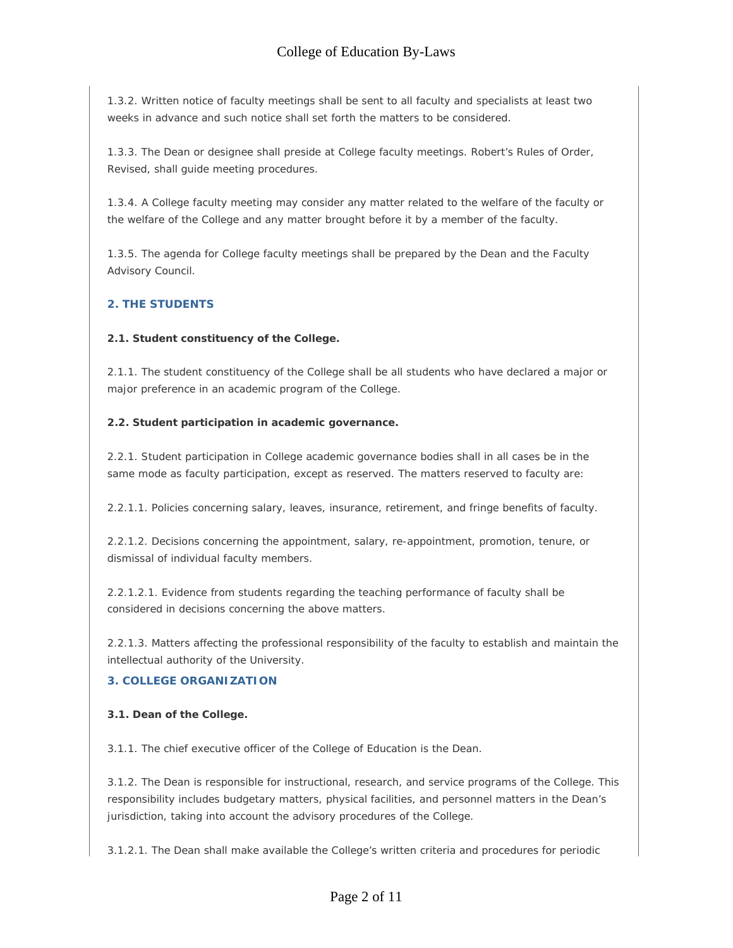1.3.2. Written notice of faculty meetings shall be sent to all faculty and specialists at least two weeks in advance and such notice shall set forth the matters to be considered.

1.3.3. The Dean or designee shall preside at College faculty meetings. Robert's Rules of Order, Revised, shall guide meeting procedures.

1.3.4. A College faculty meeting may consider any matter related to the welfare of the faculty or the welfare of the College and any matter brought before it by a member of the faculty.

1.3.5. The agenda for College faculty meetings shall be prepared by the Dean and the Faculty Advisory Council.

## **2. THE STUDENTS**

#### **2.1. Student constituency of the College.**

2.1.1. The student constituency of the College shall be all students who have declared a major or major preference in an academic program of the College.

#### **2.2. Student participation in academic governance.**

2.2.1. Student participation in College academic governance bodies shall in all cases be in the same mode as faculty participation, except as reserved. The matters reserved to faculty are:

2.2.1.1. Policies concerning salary, leaves, insurance, retirement, and fringe benefits of faculty.

2.2.1.2. Decisions concerning the appointment, salary, re-appointment, promotion, tenure, or dismissal of individual faculty members.

2.2.1.2.1. Evidence from students regarding the teaching performance of faculty shall be considered in decisions concerning the above matters.

2.2.1.3. Matters affecting the professional responsibility of the faculty to establish and maintain the intellectual authority of the University.

## **3. COLLEGE ORGANIZATION**

#### **3.1. Dean of the College.**

3.1.1. The chief executive officer of the College of Education is the Dean.

3.1.2. The Dean is responsible for instructional, research, and service programs of the College. This responsibility includes budgetary matters, physical facilities, and personnel matters in the Dean's jurisdiction, taking into account the advisory procedures of the College.

3.1.2.1. The Dean shall make available the College's written criteria and procedures for periodic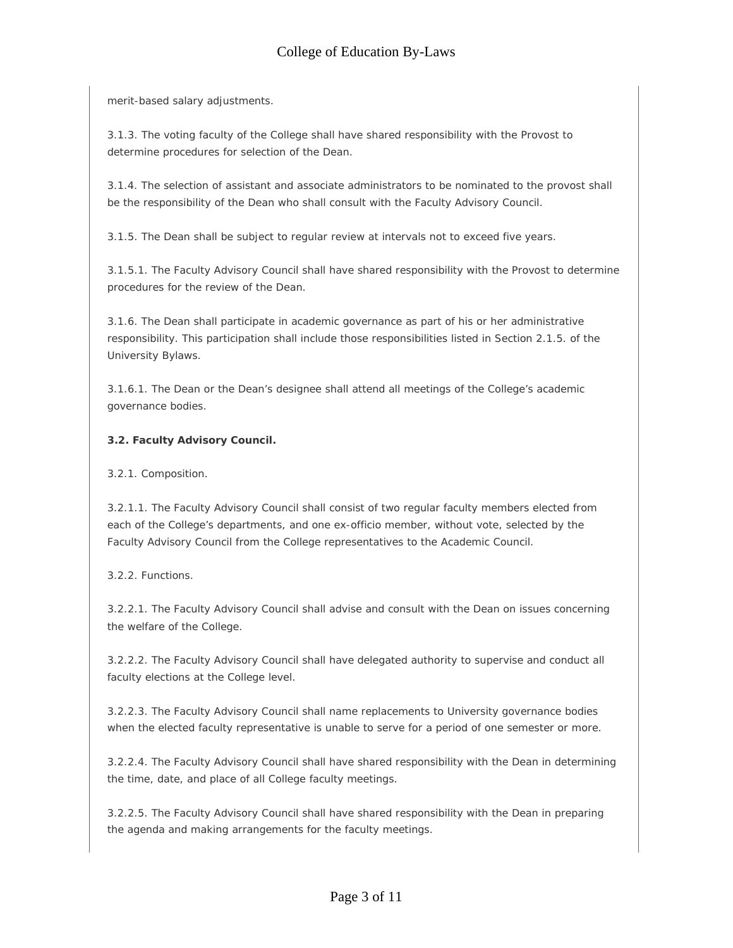merit-based salary adjustments.

3.1.3. The voting faculty of the College shall have shared responsibility with the Provost to determine procedures for selection of the Dean.

3.1.4. The selection of assistant and associate administrators to be nominated to the provost shall be the responsibility of the Dean who shall consult with the Faculty Advisory Council.

3.1.5. The Dean shall be subject to regular review at intervals not to exceed five years.

3.1.5.1. The Faculty Advisory Council shall have shared responsibility with the Provost to determine procedures for the review of the Dean.

3.1.6. The Dean shall participate in academic governance as part of his or her administrative responsibility. This participation shall include those responsibilities listed in Section 2.1.5. of the University Bylaws.

3.1.6.1. The Dean or the Dean's designee shall attend all meetings of the College's academic governance bodies.

### **3.2. Faculty Advisory Council.**

3.2.1. Composition.

3.2.1.1. The Faculty Advisory Council shall consist of two regular faculty members elected from each of the College's departments, and one ex-officio member, without vote, selected by the Faculty Advisory Council from the College representatives to the Academic Council.

3.2.2. Functions.

3.2.2.1. The Faculty Advisory Council shall advise and consult with the Dean on issues concerning the welfare of the College.

3.2.2.2. The Faculty Advisory Council shall have delegated authority to supervise and conduct all faculty elections at the College level.

3.2.2.3. The Faculty Advisory Council shall name replacements to University governance bodies when the elected faculty representative is unable to serve for a period of one semester or more.

3.2.2.4. The Faculty Advisory Council shall have shared responsibility with the Dean in determining the time, date, and place of all College faculty meetings.

3.2.2.5. The Faculty Advisory Council shall have shared responsibility with the Dean in preparing the agenda and making arrangements for the faculty meetings.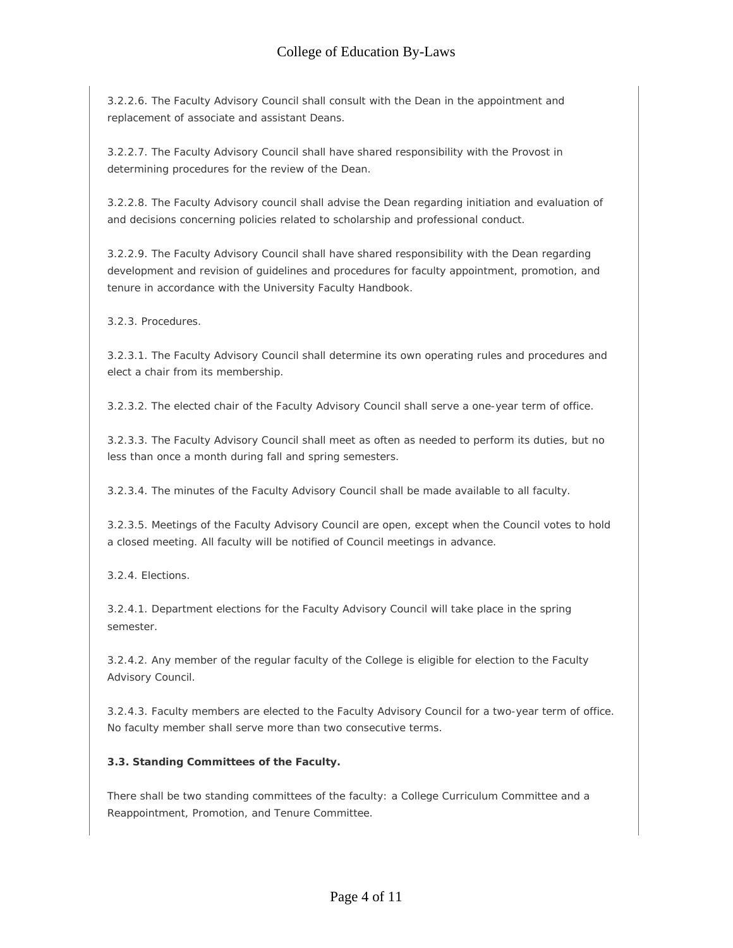3.2.2.6. The Faculty Advisory Council shall consult with the Dean in the appointment and replacement of associate and assistant Deans.

3.2.2.7. The Faculty Advisory Council shall have shared responsibility with the Provost in determining procedures for the review of the Dean.

3.2.2.8. The Faculty Advisory council shall advise the Dean regarding initiation and evaluation of and decisions concerning policies related to scholarship and professional conduct.

3.2.2.9. The Faculty Advisory Council shall have shared responsibility with the Dean regarding development and revision of guidelines and procedures for faculty appointment, promotion, and tenure in accordance with the University Faculty Handbook.

3.2.3. Procedures.

3.2.3.1. The Faculty Advisory Council shall determine its own operating rules and procedures and elect a chair from its membership.

3.2.3.2. The elected chair of the Faculty Advisory Council shall serve a one-year term of office.

3.2.3.3. The Faculty Advisory Council shall meet as often as needed to perform its duties, but no less than once a month during fall and spring semesters.

3.2.3.4. The minutes of the Faculty Advisory Council shall be made available to all faculty.

3.2.3.5. Meetings of the Faculty Advisory Council are open, except when the Council votes to hold a closed meeting. All faculty will be notified of Council meetings in advance.

3.2.4. Elections.

3.2.4.1. Department elections for the Faculty Advisory Council will take place in the spring semester.

3.2.4.2. Any member of the regular faculty of the College is eligible for election to the Faculty Advisory Council.

3.2.4.3. Faculty members are elected to the Faculty Advisory Council for a two-year term of office. No faculty member shall serve more than two consecutive terms.

## **3.3. Standing Committees of the Faculty.**

There shall be two standing committees of the faculty: a College Curriculum Committee and a Reappointment, Promotion, and Tenure Committee.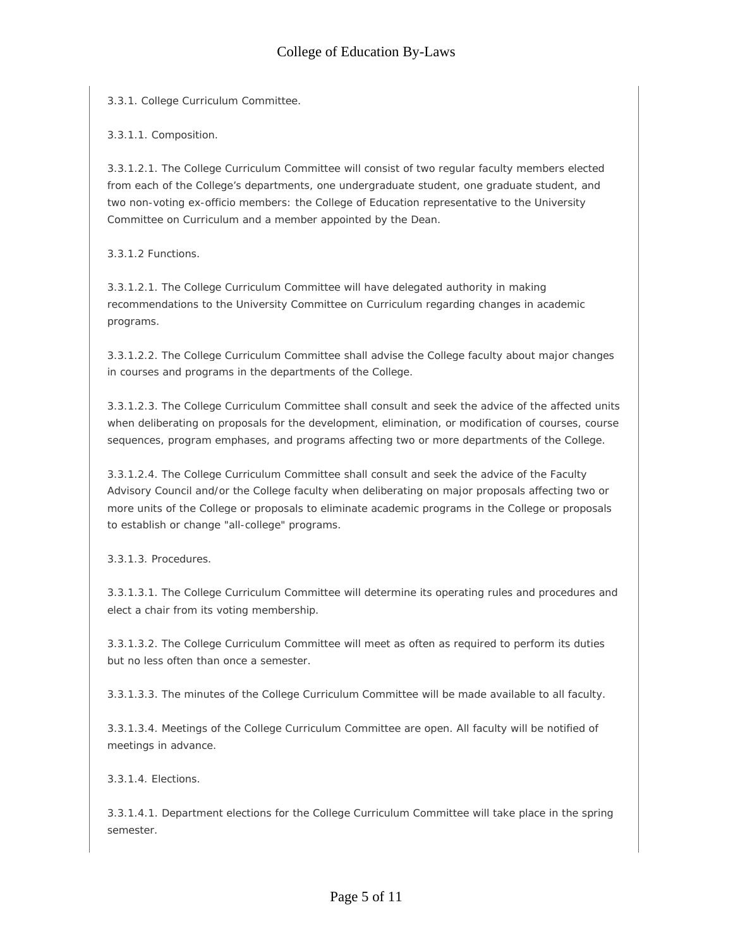3.3.1. College Curriculum Committee.

3.3.1.1. Composition.

3.3.1.2.1. The College Curriculum Committee will consist of two regular faculty members elected from each of the College's departments, one undergraduate student, one graduate student, and two non-voting ex-officio members: the College of Education representative to the University Committee on Curriculum and a member appointed by the Dean.

3.3.1.2 Functions.

3.3.1.2.1. The College Curriculum Committee will have delegated authority in making recommendations to the University Committee on Curriculum regarding changes in academic programs.

3.3.1.2.2. The College Curriculum Committee shall advise the College faculty about major changes in courses and programs in the departments of the College.

3.3.1.2.3. The College Curriculum Committee shall consult and seek the advice of the affected units when deliberating on proposals for the development, elimination, or modification of courses, course sequences, program emphases, and programs affecting two or more departments of the College.

3.3.1.2.4. The College Curriculum Committee shall consult and seek the advice of the Faculty Advisory Council and/or the College faculty when deliberating on major proposals affecting two or more units of the College or proposals to eliminate academic programs in the College or proposals to establish or change "all-college" programs.

3.3.1.3. Procedures.

3.3.1.3.1. The College Curriculum Committee will determine its operating rules and procedures and elect a chair from its voting membership.

3.3.1.3.2. The College Curriculum Committee will meet as often as required to perform its duties but no less often than once a semester.

3.3.1.3.3. The minutes of the College Curriculum Committee will be made available to all faculty.

3.3.1.3.4. Meetings of the College Curriculum Committee are open. All faculty will be notified of meetings in advance.

3.3.1.4. Elections.

3.3.1.4.1. Department elections for the College Curriculum Committee will take place in the spring semester.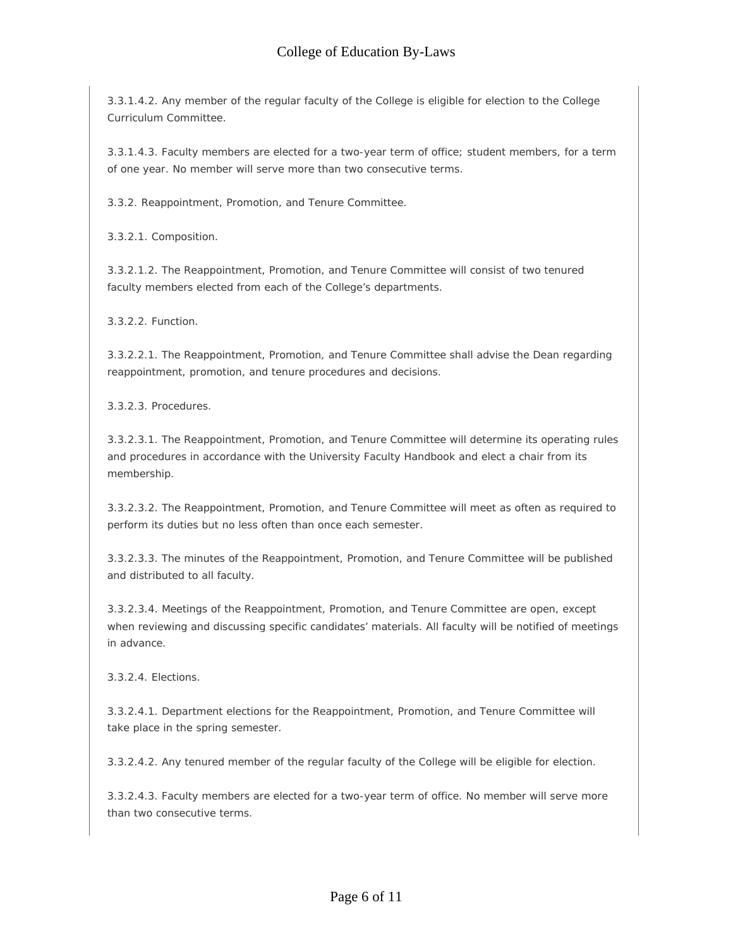3.3.1.4.2. Any member of the regular faculty of the College is eligible for election to the College Curriculum Committee.

3.3.1.4.3. Faculty members are elected for a two-year term of office; student members, for a term of one year. No member will serve more than two consecutive terms.

3.3.2. Reappointment, Promotion, and Tenure Committee.

3.3.2.1. Composition.

3.3.2.1.2. The Reappointment, Promotion, and Tenure Committee will consist of two tenured faculty members elected from each of the College's departments.

3.3.2.2. Function.

3.3.2.2.1. The Reappointment, Promotion, and Tenure Committee shall advise the Dean regarding reappointment, promotion, and tenure procedures and decisions.

3.3.2.3. Procedures.

3.3.2.3.1. The Reappointment, Promotion, and Tenure Committee will determine its operating rules and procedures in accordance with the University Faculty Handbook and elect a chair from its membership.

3.3.2.3.2. The Reappointment, Promotion, and Tenure Committee will meet as often as required to perform its duties but no less often than once each semester.

3.3.2.3.3. The minutes of the Reappointment, Promotion, and Tenure Committee will be published and distributed to all faculty.

3.3.2.3.4. Meetings of the Reappointment, Promotion, and Tenure Committee are open, except when reviewing and discussing specific candidates' materials. All faculty will be notified of meetings in advance.

3.3.2.4. Elections.

3.3.2.4.1. Department elections for the Reappointment, Promotion, and Tenure Committee will take place in the spring semester.

3.3.2.4.2. Any tenured member of the regular faculty of the College will be eligible for election.

3.3.2.4.3. Faculty members are elected for a two-year term of office. No member will serve more than two consecutive terms.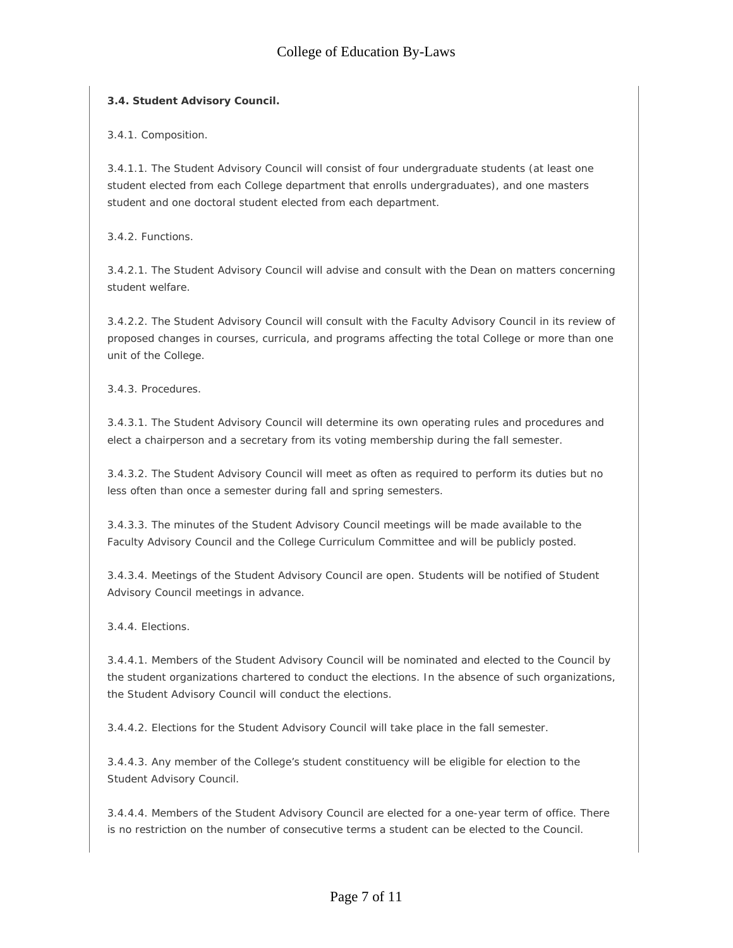## **3.4. Student Advisory Council.**

3.4.1. Composition.

3.4.1.1. The Student Advisory Council will consist of four undergraduate students (at least one student elected from each College department that enrolls undergraduates), and one masters student and one doctoral student elected from each department.

3.4.2. Functions.

3.4.2.1. The Student Advisory Council will advise and consult with the Dean on matters concerning student welfare.

3.4.2.2. The Student Advisory Council will consult with the Faculty Advisory Council in its review of proposed changes in courses, curricula, and programs affecting the total College or more than one unit of the College.

3.4.3. Procedures.

3.4.3.1. The Student Advisory Council will determine its own operating rules and procedures and elect a chairperson and a secretary from its voting membership during the fall semester.

3.4.3.2. The Student Advisory Council will meet as often as required to perform its duties but no less often than once a semester during fall and spring semesters.

3.4.3.3. The minutes of the Student Advisory Council meetings will be made available to the Faculty Advisory Council and the College Curriculum Committee and will be publicly posted.

3.4.3.4. Meetings of the Student Advisory Council are open. Students will be notified of Student Advisory Council meetings in advance.

3.4.4. Elections.

3.4.4.1. Members of the Student Advisory Council will be nominated and elected to the Council by the student organizations chartered to conduct the elections. In the absence of such organizations, the Student Advisory Council will conduct the elections.

3.4.4.2. Elections for the Student Advisory Council will take place in the fall semester.

3.4.4.3. Any member of the College's student constituency will be eligible for election to the Student Advisory Council.

3.4.4.4. Members of the Student Advisory Council are elected for a one-year term of office. There is no restriction on the number of consecutive terms a student can be elected to the Council.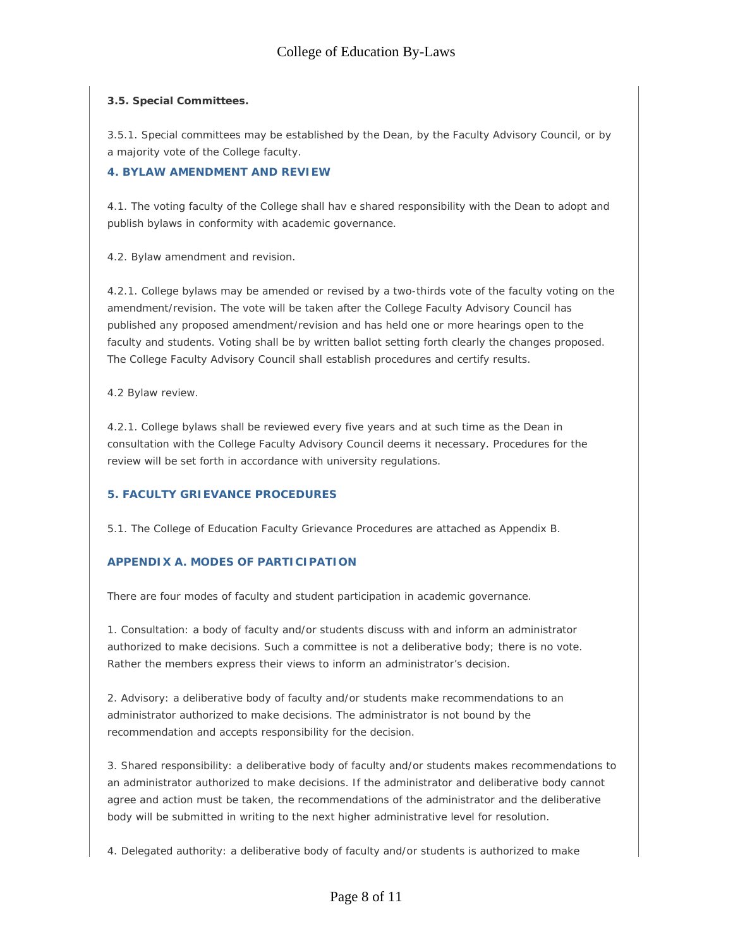### **3.5. Special Committees.**

3.5.1. Special committees may be established by the Dean, by the Faculty Advisory Council, or by a majority vote of the College faculty.

### **4. BYLAW AMENDMENT AND REVIEW**

4.1. The voting faculty of the College shall hav e shared responsibility with the Dean to adopt and publish bylaws in conformity with academic governance.

4.2. Bylaw amendment and revision.

4.2.1. College bylaws may be amended or revised by a two-thirds vote of the faculty voting on the amendment/revision. The vote will be taken after the College Faculty Advisory Council has published any proposed amendment/revision and has held one or more hearings open to the faculty and students. Voting shall be by written ballot setting forth clearly the changes proposed. The College Faculty Advisory Council shall establish procedures and certify results.

4.2 Bylaw review.

4.2.1. College bylaws shall be reviewed every five years and at such time as the Dean in consultation with the College Faculty Advisory Council deems it necessary. Procedures for the review will be set forth in accordance with university regulations.

## **5. FACULTY GRIEVANCE PROCEDURES**

5.1. The College of Education Faculty Grievance Procedures are attached as Appendix B.

## **APPENDIX A. MODES OF PARTICIPATION**

There are four modes of faculty and student participation in academic governance.

1. Consultation: a body of faculty and/or students discuss with and inform an administrator authorized to make decisions. Such a committee is not a deliberative body; there is no vote. Rather the members express their views to inform an administrator's decision.

2. Advisory: a deliberative body of faculty and/or students make recommendations to an administrator authorized to make decisions. The administrator is not bound by the recommendation and accepts responsibility for the decision.

3. Shared responsibility: a deliberative body of faculty and/or students makes recommendations to an administrator authorized to make decisions. If the administrator and deliberative body cannot agree and action must be taken, the recommendations of the administrator and the deliberative body will be submitted in writing to the next higher administrative level for resolution.

4. Delegated authority: a deliberative body of faculty and/or students is authorized to make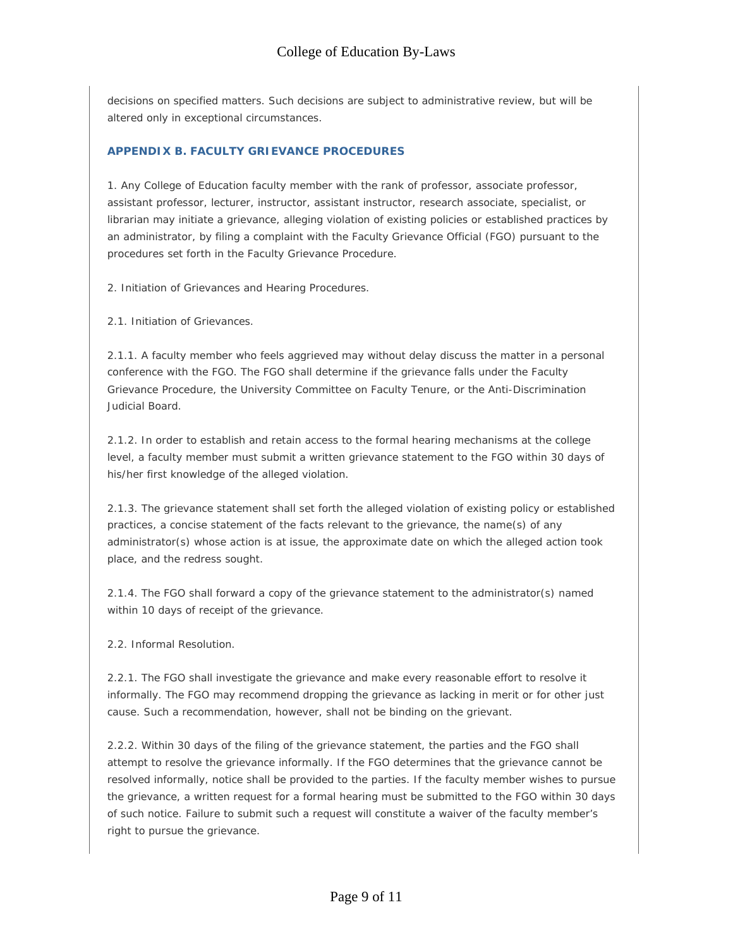decisions on specified matters. Such decisions are subject to administrative review, but will be altered only in exceptional circumstances.

## **APPENDIX B. FACULTY GRIEVANCE PROCEDURES**

1. Any College of Education faculty member with the rank of professor, associate professor, assistant professor, lecturer, instructor, assistant instructor, research associate, specialist, or librarian may initiate a grievance, alleging violation of existing policies or established practices by an administrator, by filing a complaint with the Faculty Grievance Official (FGO) pursuant to the procedures set forth in the Faculty Grievance Procedure.

2. Initiation of Grievances and Hearing Procedures.

2.1. Initiation of Grievances.

2.1.1. A faculty member who feels aggrieved may without delay discuss the matter in a personal conference with the FGO. The FGO shall determine if the grievance falls under the Faculty Grievance Procedure, the University Committee on Faculty Tenure, or the Anti-Discrimination Judicial Board.

2.1.2. In order to establish and retain access to the formal hearing mechanisms at the college level, a faculty member must submit a written grievance statement to the FGO within 30 days of his/her first knowledge of the alleged violation.

2.1.3. The grievance statement shall set forth the alleged violation of existing policy or established practices, a concise statement of the facts relevant to the grievance, the name(s) of any administrator(s) whose action is at issue, the approximate date on which the alleged action took place, and the redress sought.

2.1.4. The FGO shall forward a copy of the grievance statement to the administrator(s) named within 10 days of receipt of the grievance.

2.2. Informal Resolution.

2.2.1. The FGO shall investigate the grievance and make every reasonable effort to resolve it informally. The FGO may recommend dropping the grievance as lacking in merit or for other just cause. Such a recommendation, however, shall not be binding on the grievant.

2.2.2. Within 30 days of the filing of the grievance statement, the parties and the FGO shall attempt to resolve the grievance informally. If the FGO determines that the grievance cannot be resolved informally, notice shall be provided to the parties. If the faculty member wishes to pursue the grievance, a written request for a formal hearing must be submitted to the FGO within 30 days of such notice. Failure to submit such a request will constitute a waiver of the faculty member's right to pursue the grievance.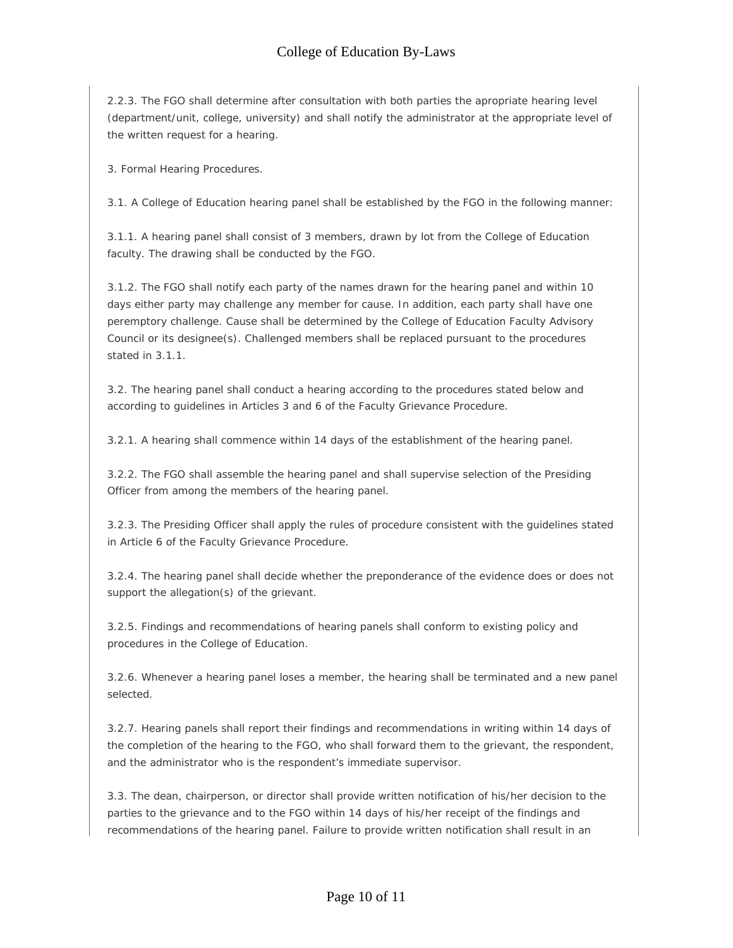2.2.3. The FGO shall determine after consultation with both parties the apropriate hearing level (department/unit, college, university) and shall notify the administrator at the appropriate level of the written request for a hearing.

3. Formal Hearing Procedures.

3.1. A College of Education hearing panel shall be established by the FGO in the following manner:

3.1.1. A hearing panel shall consist of 3 members, drawn by lot from the College of Education faculty. The drawing shall be conducted by the FGO.

3.1.2. The FGO shall notify each party of the names drawn for the hearing panel and within 10 days either party may challenge any member for cause. In addition, each party shall have one peremptory challenge. Cause shall be determined by the College of Education Faculty Advisory Council or its designee(s). Challenged members shall be replaced pursuant to the procedures stated in 3.1.1.

3.2. The hearing panel shall conduct a hearing according to the procedures stated below and according to guidelines in Articles 3 and 6 of the Faculty Grievance Procedure.

3.2.1. A hearing shall commence within 14 days of the establishment of the hearing panel.

3.2.2. The FGO shall assemble the hearing panel and shall supervise selection of the Presiding Officer from among the members of the hearing panel.

3.2.3. The Presiding Officer shall apply the rules of procedure consistent with the guidelines stated in Article 6 of the Faculty Grievance Procedure.

3.2.4. The hearing panel shall decide whether the preponderance of the evidence does or does not support the allegation(s) of the grievant.

3.2.5. Findings and recommendations of hearing panels shall conform to existing policy and procedures in the College of Education.

3.2.6. Whenever a hearing panel loses a member, the hearing shall be terminated and a new panel selected.

3.2.7. Hearing panels shall report their findings and recommendations in writing within 14 days of the completion of the hearing to the FGO, who shall forward them to the grievant, the respondent, and the administrator who is the respondent's immediate supervisor.

3.3. The dean, chairperson, or director shall provide written notification of his/her decision to the parties to the grievance and to the FGO within 14 days of his/her receipt of the findings and recommendations of the hearing panel. Failure to provide written notification shall result in an